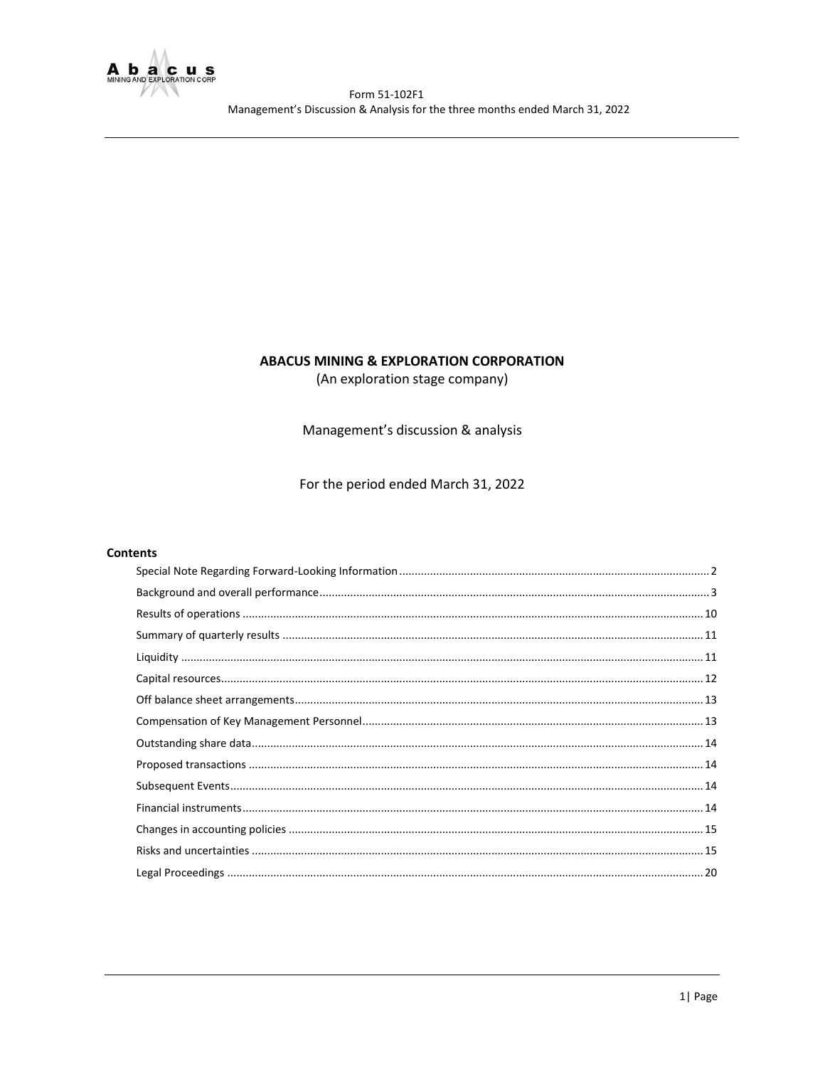

# **ABACUS MINING & EXPLORATION CORPORATION**

(An exploration stage company)

Management's discussion & analysis

For the period ended March 31, 2022

## **Contents**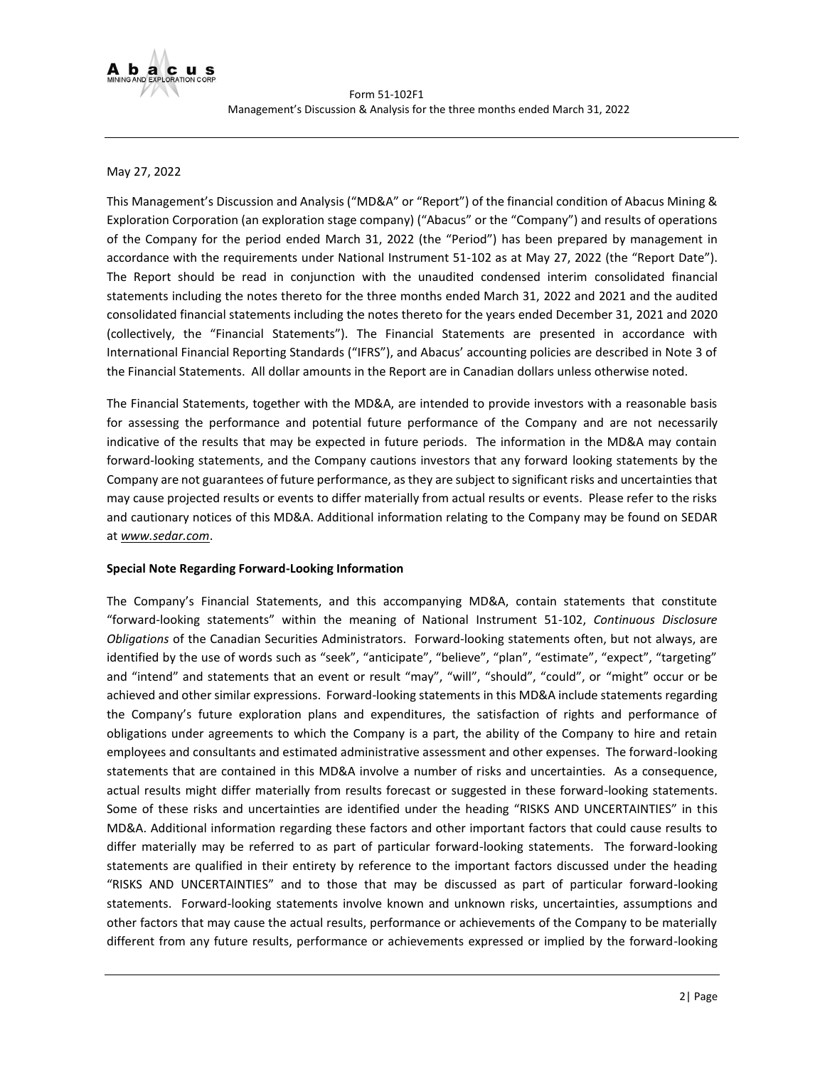

## May 27, 2022

This Management's Discussion and Analysis ("MD&A" or "Report") of the financial condition of Abacus Mining & Exploration Corporation (an exploration stage company) ("Abacus" or the "Company") and results of operations of the Company for the period ended March 31, 2022 (the "Period") has been prepared by management in accordance with the requirements under National Instrument 51-102 as at May 27, 2022 (the "Report Date"). The Report should be read in conjunction with the unaudited condensed interim consolidated financial statements including the notes thereto for the three months ended March 31, 2022 and 2021 and the audited consolidated financial statements including the notes thereto for the years ended December 31, 2021 and 2020 (collectively, the "Financial Statements"). The Financial Statements are presented in accordance with International Financial Reporting Standards ("IFRS"), and Abacus' accounting policies are described in Note 3 of the Financial Statements. All dollar amounts in the Report are in Canadian dollars unless otherwise noted.

The Financial Statements, together with the MD&A, are intended to provide investors with a reasonable basis for assessing the performance and potential future performance of the Company and are not necessarily indicative of the results that may be expected in future periods. The information in the MD&A may contain forward-looking statements, and the Company cautions investors that any forward looking statements by the Company are not guarantees of future performance, as they are subject to significant risks and uncertainties that may cause projected results or events to differ materially from actual results or events. Please refer to the risks and cautionary notices of this MD&A. Additional information relating to the Company may be found on SEDAR at *[www.sedar.com](http://www.sedar.com/)*.

#### <span id="page-1-0"></span>**Special Note Regarding Forward-Looking Information**

The Company's Financial Statements, and this accompanying MD&A, contain statements that constitute "forward-looking statements" within the meaning of National Instrument 51-102, *Continuous Disclosure Obligations* of the Canadian Securities Administrators. Forward-looking statements often, but not always, are identified by the use of words such as "seek", "anticipate", "believe", "plan", "estimate", "expect", "targeting" and "intend" and statements that an event or result "may", "will", "should", "could", or "might" occur or be achieved and other similar expressions. Forward-looking statements in this MD&A include statements regarding the Company's future exploration plans and expenditures, the satisfaction of rights and performance of obligations under agreements to which the Company is a part, the ability of the Company to hire and retain employees and consultants and estimated administrative assessment and other expenses. The forward-looking statements that are contained in this MD&A involve a number of risks and uncertainties. As a consequence, actual results might differ materially from results forecast or suggested in these forward-looking statements. Some of these risks and uncertainties are identified under the heading "RISKS AND UNCERTAINTIES" in this MD&A. Additional information regarding these factors and other important factors that could cause results to differ materially may be referred to as part of particular forward-looking statements. The forward-looking statements are qualified in their entirety by reference to the important factors discussed under the heading "RISKS AND UNCERTAINTIES" and to those that may be discussed as part of particular forward-looking statements. Forward-looking statements involve known and unknown risks, uncertainties, assumptions and other factors that may cause the actual results, performance or achievements of the Company to be materially different from any future results, performance or achievements expressed or implied by the forward-looking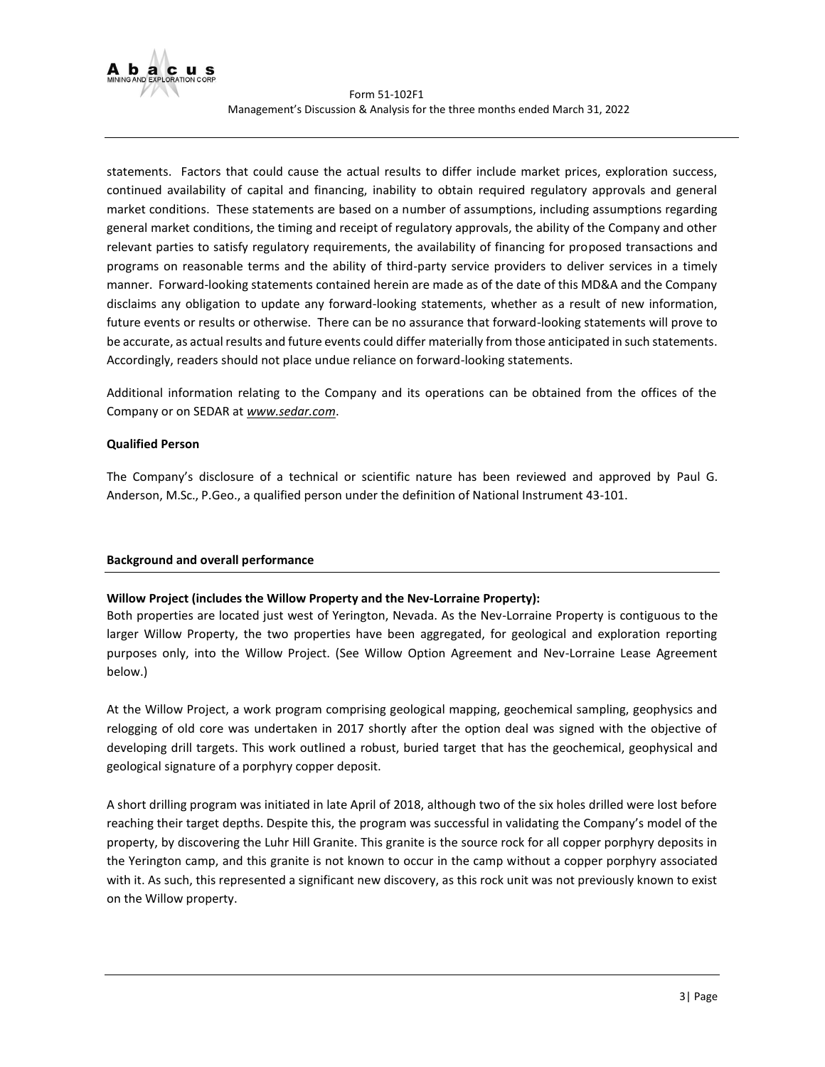

statements. Factors that could cause the actual results to differ include market prices, exploration success, continued availability of capital and financing, inability to obtain required regulatory approvals and general market conditions. These statements are based on a number of assumptions, including assumptions regarding general market conditions, the timing and receipt of regulatory approvals, the ability of the Company and other relevant parties to satisfy regulatory requirements, the availability of financing for proposed transactions and programs on reasonable terms and the ability of third-party service providers to deliver services in a timely manner. Forward-looking statements contained herein are made as of the date of this MD&A and the Company disclaims any obligation to update any forward-looking statements, whether as a result of new information, future events or results or otherwise. There can be no assurance that forward-looking statements will prove to be accurate, as actual results and future events could differ materially from those anticipated in such statements. Accordingly, readers should not place undue reliance on forward-looking statements.

Additional information relating to the Company and its operations can be obtained from the offices of the Company or on SEDAR at *[www.sedar.com](http://www.sedar.com/)*.

## **Qualified Person**

The Company's disclosure of a technical or scientific nature has been reviewed and approved by Paul G. Anderson, M.Sc., P.Geo., a qualified person under the definition of National Instrument 43-101.

# <span id="page-2-0"></span>**Background and overall performance**

# **Willow Project (includes the Willow Property and the Nev-Lorraine Property):**

Both properties are located just west of Yerington, Nevada. As the Nev-Lorraine Property is contiguous to the larger Willow Property, the two properties have been aggregated, for geological and exploration reporting purposes only, into the Willow Project. (See Willow Option Agreement and Nev-Lorraine Lease Agreement below.)

At the Willow Project, a work program comprising geological mapping, geochemical sampling, geophysics and relogging of old core was undertaken in 2017 shortly after the option deal was signed with the objective of developing drill targets. This work outlined a robust, buried target that has the geochemical, geophysical and geological signature of a porphyry copper deposit.

A short drilling program was initiated in late April of 2018, although two of the six holes drilled were lost before reaching their target depths. Despite this, the program was successful in validating the Company's model of the property, by discovering the Luhr Hill Granite. This granite is the source rock for all copper porphyry deposits in the Yerington camp, and this granite is not known to occur in the camp without a copper porphyry associated with it. As such, this represented a significant new discovery, as this rock unit was not previously known to exist on the Willow property.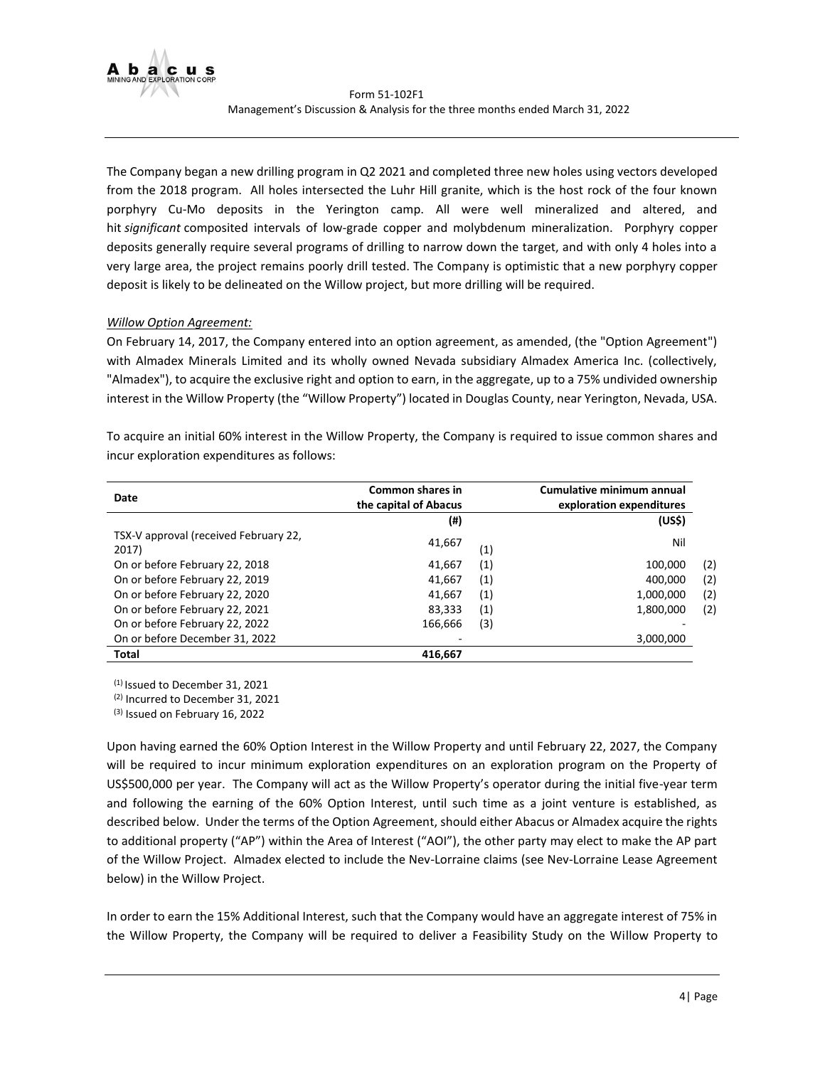

The Company began a new drilling program in Q2 2021 and completed three new holes using vectors developed from the 2018 program. All holes intersected the Luhr Hill granite, which is the host rock of the four known porphyry Cu-Mo deposits in the Yerington camp. All were well mineralized and altered, and hit *significant* composited intervals of low-grade copper and molybdenum mineralization. Porphyry copper deposits generally require several programs of drilling to narrow down the target, and with only 4 holes into a very large area, the project remains poorly drill tested. The Company is optimistic that a new porphyry copper deposit is likely to be delineated on the Willow project, but more drilling will be required.

# *Willow Option Agreement:*

On February 14, 2017, the Company entered into an option agreement, as amended, (the "Option Agreement") with Almadex Minerals Limited and its wholly owned Nevada subsidiary Almadex America Inc. (collectively, "Almadex"), to acquire the exclusive right and option to earn, in the aggregate, up to a 75% undivided ownership interest in the Willow Property (the "Willow Property") located in Douglas County, near Yerington, Nevada, USA.

| Date                                           | Common shares in<br>the capital of Abacus |     | Cumulative minimum annual<br>exploration expenditures |     |
|------------------------------------------------|-------------------------------------------|-----|-------------------------------------------------------|-----|
|                                                | (#)                                       |     | (US\$)                                                |     |
| TSX-V approval (received February 22,<br>2017) | 41,667                                    | (1) | Nil                                                   |     |
| On or before February 22, 2018                 | 41,667                                    | (1) | 100,000                                               | (2) |
| On or before February 22, 2019                 | 41,667                                    | (1) | 400,000                                               | (2) |
| On or before February 22, 2020                 | 41.667                                    | (1) | 1,000,000                                             | (2) |
| On or before February 22, 2021                 | 83,333                                    | (1) | 1,800,000                                             | (2) |
| On or before February 22, 2022                 | 166,666                                   | (3) |                                                       |     |
| On or before December 31, 2022                 |                                           |     | 3,000,000                                             |     |

To acquire an initial 60% interest in the Willow Property, the Company is required to issue common shares and incur exploration expenditures as follows:

(1) Issued to December 31, 2021

**Total 416,667**

(2) Incurred to December 31, 2021

(3) Issued on February 16, 2022

Upon having earned the 60% Option Interest in the Willow Property and until February 22, 2027, the Company will be required to incur minimum exploration expenditures on an exploration program on the Property of US\$500,000 per year. The Company will act as the Willow Property's operator during the initial five-year term and following the earning of the 60% Option Interest, until such time as a joint venture is established, as described below. Under the terms of the Option Agreement, should either Abacus or Almadex acquire the rights to additional property ("AP") within the Area of Interest ("AOI"), the other party may elect to make the AP part of the Willow Project. Almadex elected to include the Nev-Lorraine claims (see Nev-Lorraine Lease Agreement below) in the Willow Project.

In order to earn the 15% Additional Interest, such that the Company would have an aggregate interest of 75% in the Willow Property, the Company will be required to deliver a Feasibility Study on the Willow Property to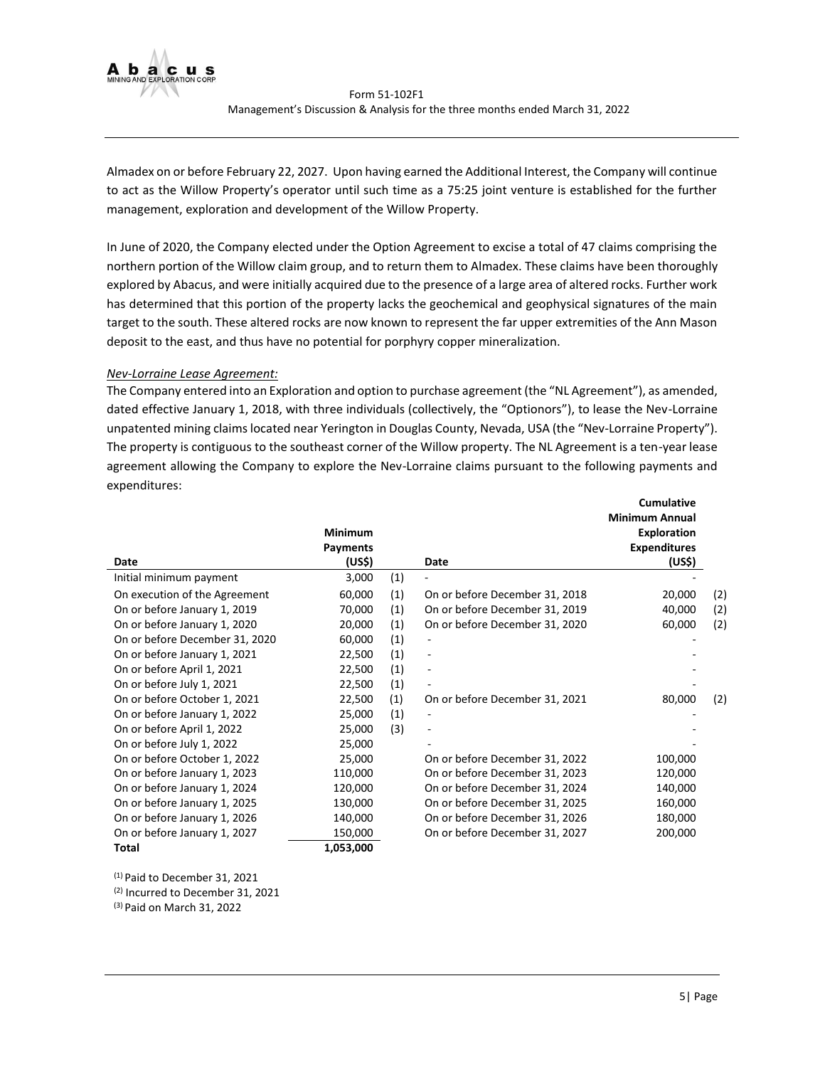

Almadex on or before February 22, 2027. Upon having earned the Additional Interest, the Company will continue to act as the Willow Property's operator until such time as a 75:25 joint venture is established for the further management, exploration and development of the Willow Property.

In June of 2020, the Company elected under the Option Agreement to excise a total of 47 claims comprising the northern portion of the Willow claim group, and to return them to Almadex. These claims have been thoroughly explored by Abacus, and were initially acquired due to the presence of a large area of altered rocks. Further work has determined that this portion of the property lacks the geochemical and geophysical signatures of the main target to the south. These altered rocks are now known to represent the far upper extremities of the Ann Mason deposit to the east, and thus have no potential for porphyry copper mineralization.

## *Nev-Lorraine Lease Agreement:*

The Company entered into an Exploration and option to purchase agreement (the "NL Agreement"), as amended, dated effective January 1, 2018, with three individuals (collectively, the "Optionors"), to lease the Nev-Lorraine unpatented mining claims located near Yerington in Douglas County, Nevada, USA (the "Nev-Lorraine Property"). The property is contiguous to the southeast corner of the Willow property. The NL Agreement is a ten-year lease agreement allowing the Company to explore the Nev-Lorraine claims pursuant to the following payments and expenditures:

|                                | <b>Minimum</b><br><b>Payments</b> |     |                                | cumulative<br><b>Minimum Annual</b><br><b>Exploration</b><br><b>Expenditures</b> |     |
|--------------------------------|-----------------------------------|-----|--------------------------------|----------------------------------------------------------------------------------|-----|
| Date                           | (US\$)                            |     | Date                           | (US\$)                                                                           |     |
| Initial minimum payment        | 3,000                             | (1) |                                |                                                                                  |     |
| On execution of the Agreement  | 60,000                            | (1) | On or before December 31, 2018 | 20,000                                                                           | (2) |
| On or before January 1, 2019   | 70,000                            | (1) | On or before December 31, 2019 | 40,000                                                                           | (2) |
| On or before January 1, 2020   | 20,000                            | (1) | On or before December 31, 2020 | 60,000                                                                           | (2) |
| On or before December 31, 2020 | 60,000                            | (1) |                                |                                                                                  |     |
| On or before January 1, 2021   | 22,500                            | (1) | $\qquad \qquad \blacksquare$   |                                                                                  |     |
| On or before April 1, 2021     | 22,500                            | (1) |                                |                                                                                  |     |
| On or before July 1, 2021      | 22,500                            | (1) |                                |                                                                                  |     |
| On or before October 1, 2021   | 22,500                            | (1) | On or before December 31, 2021 | 80,000                                                                           | (2) |
| On or before January 1, 2022   | 25,000                            | (1) |                                |                                                                                  |     |
| On or before April 1, 2022     | 25,000                            | (3) | $\overline{\phantom{m}}$       |                                                                                  |     |
| On or before July 1, 2022      | 25,000                            |     |                                |                                                                                  |     |
| On or before October 1, 2022   | 25,000                            |     | On or before December 31, 2022 | 100,000                                                                          |     |
| On or before January 1, 2023   | 110,000                           |     | On or before December 31, 2023 | 120,000                                                                          |     |
| On or before January 1, 2024   | 120,000                           |     | On or before December 31, 2024 | 140,000                                                                          |     |
| On or before January 1, 2025   | 130,000                           |     | On or before December 31, 2025 | 160,000                                                                          |     |
| On or before January 1, 2026   | 140,000                           |     | On or before December 31, 2026 | 180,000                                                                          |     |
| On or before January 1, 2027   | 150,000                           |     | On or before December 31, 2027 | 200,000                                                                          |     |
| Total                          | 1.053.000                         |     |                                |                                                                                  |     |

(1) Paid to December 31, 2021 (2) Incurred to December 31, 2021 (3) Paid on March 31, 2022

**Cumulative**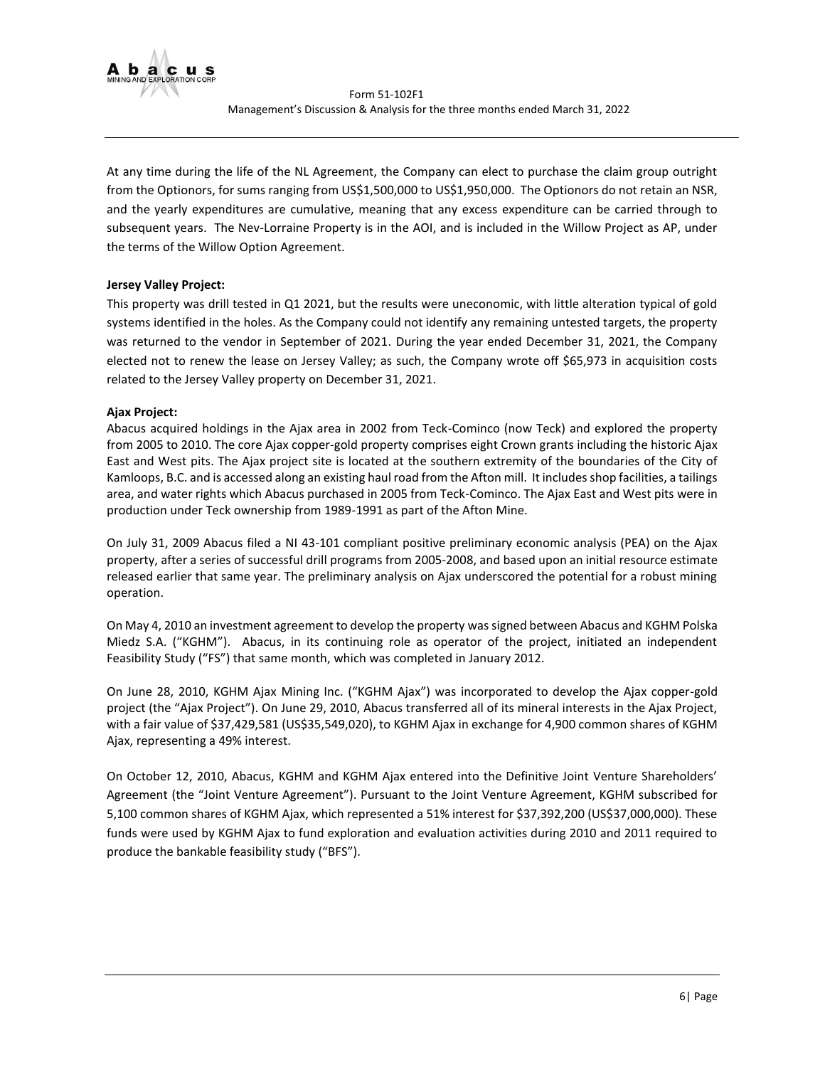

At any time during the life of the NL Agreement, the Company can elect to purchase the claim group outright from the Optionors, for sums ranging from US\$1,500,000 to US\$1,950,000. The Optionors do not retain an NSR, and the yearly expenditures are cumulative, meaning that any excess expenditure can be carried through to subsequent years. The Nev-Lorraine Property is in the AOI, and is included in the Willow Project as AP, under the terms of the Willow Option Agreement.

# **Jersey Valley Project:**

This property was drill tested in Q1 2021, but the results were uneconomic, with little alteration typical of gold systems identified in the holes. As the Company could not identify any remaining untested targets, the property was returned to the vendor in September of 2021. During the year ended December 31, 2021, the Company elected not to renew the lease on Jersey Valley; as such, the Company wrote off \$65,973 in acquisition costs related to the Jersey Valley property on December 31, 2021.

# **Ajax Project:**

Abacus acquired holdings in the Ajax area in 2002 from Teck-Cominco (now Teck) and explored the property from 2005 to 2010. The core Ajax copper-gold property comprises eight Crown grants including the historic Ajax East and West pits. The Ajax project site is located at the southern extremity of the boundaries of the City of Kamloops, B.C. and is accessed along an existing haul road from the Afton mill. It includes shop facilities, a tailings area, and water rights which Abacus purchased in 2005 from Teck-Cominco. The Ajax East and West pits were in production under Teck ownership from 1989-1991 as part of the Afton Mine.

On July 31, 2009 Abacus filed a NI 43-101 compliant positive preliminary economic analysis (PEA) on the Ajax property, after a series of successful drill programs from 2005-2008, and based upon an initial resource estimate released earlier that same year. The preliminary analysis on Ajax underscored the potential for a robust mining operation.

On May 4, 2010 an investment agreement to develop the property was signed between Abacus and KGHM Polska Miedz S.A. ("KGHM"). Abacus, in its continuing role as operator of the project, initiated an independent Feasibility Study ("FS") that same month, which was completed in January 2012.

On June 28, 2010, KGHM Ajax Mining Inc. ("KGHM Ajax") was incorporated to develop the Ajax copper-gold project (the "Ajax Project"). On June 29, 2010, Abacus transferred all of its mineral interests in the Ajax Project, with a fair value of \$37,429,581 (US\$35,549,020), to KGHM Ajax in exchange for 4,900 common shares of KGHM Ajax, representing a 49% interest.

On October 12, 2010, Abacus, KGHM and KGHM Ajax entered into the Definitive Joint Venture Shareholders' Agreement (the "Joint Venture Agreement"). Pursuant to the Joint Venture Agreement, KGHM subscribed for 5,100 common shares of KGHM Ajax, which represented a 51% interest for \$37,392,200 (US\$37,000,000). These funds were used by KGHM Ajax to fund exploration and evaluation activities during 2010 and 2011 required to produce the bankable feasibility study ("BFS").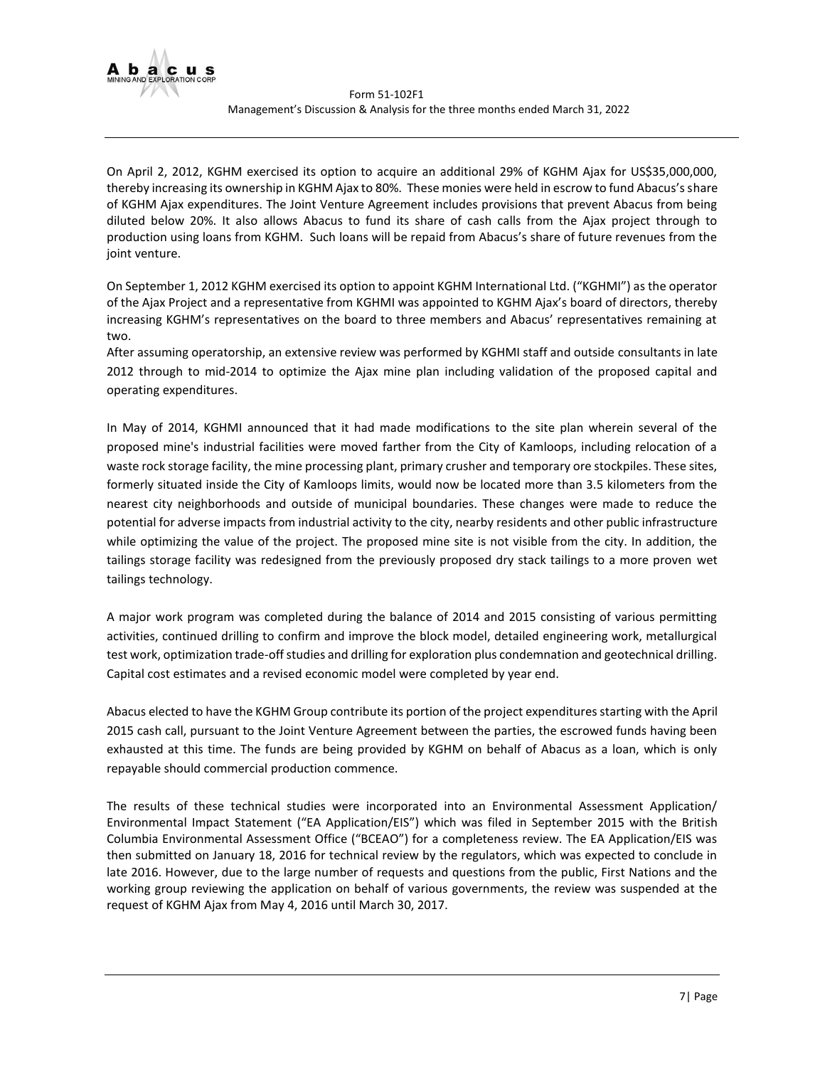

On April 2, 2012, KGHM exercised its option to acquire an additional 29% of KGHM Ajax for US\$35,000,000, thereby increasing its ownership in KGHM Ajax to 80%. These monies were held in escrow to fund Abacus's share of KGHM Ajax expenditures. The Joint Venture Agreement includes provisions that prevent Abacus from being diluted below 20%. It also allows Abacus to fund its share of cash calls from the Ajax project through to production using loans from KGHM. Such loans will be repaid from Abacus's share of future revenues from the joint venture.

On September 1, 2012 KGHM exercised its option to appoint KGHM International Ltd. ("KGHMI") as the operator of the Ajax Project and a representative from KGHMI was appointed to KGHM Ajax's board of directors, thereby increasing KGHM's representatives on the board to three members and Abacus' representatives remaining at two.

After assuming operatorship, an extensive review was performed by KGHMI staff and outside consultants in late 2012 through to mid-2014 to optimize the Ajax mine plan including validation of the proposed capital and operating expenditures.

In May of 2014, KGHMI announced that it had made modifications to the site plan wherein several of the proposed mine's industrial facilities were moved farther from the City of Kamloops, including relocation of a waste rock storage facility, the mine processing plant, primary crusher and temporary ore stockpiles. These sites, formerly situated inside the City of Kamloops limits, would now be located more than 3.5 kilometers from the nearest city neighborhoods and outside of municipal boundaries. These changes were made to reduce the potential for adverse impacts from industrial activity to the city, nearby residents and other public infrastructure while optimizing the value of the project. The proposed mine site is not visible from the city. In addition, the tailings storage facility was redesigned from the previously proposed dry stack tailings to a more proven wet tailings technology.

A major work program was completed during the balance of 2014 and 2015 consisting of various permitting activities, continued drilling to confirm and improve the block model, detailed engineering work, metallurgical test work, optimization trade-off studies and drilling for exploration plus condemnation and geotechnical drilling. Capital cost estimates and a revised economic model were completed by year end.

Abacus elected to have the KGHM Group contribute its portion of the project expenditures starting with the April 2015 cash call, pursuant to the Joint Venture Agreement between the parties, the escrowed funds having been exhausted at this time. The funds are being provided by KGHM on behalf of Abacus as a loan, which is only repayable should commercial production commence.

The results of these technical studies were incorporated into an Environmental Assessment Application/ Environmental Impact Statement ("EA Application/EIS") which was filed in September 2015 with the British Columbia Environmental Assessment Office ("BCEAO") for a completeness review. The EA Application/EIS was then submitted on January 18, 2016 for technical review by the regulators, which was expected to conclude in late 2016. However, due to the large number of requests and questions from the public, First Nations and the working group reviewing the application on behalf of various governments, the review was suspended at the request of KGHM Ajax from May 4, 2016 until March 30, 2017.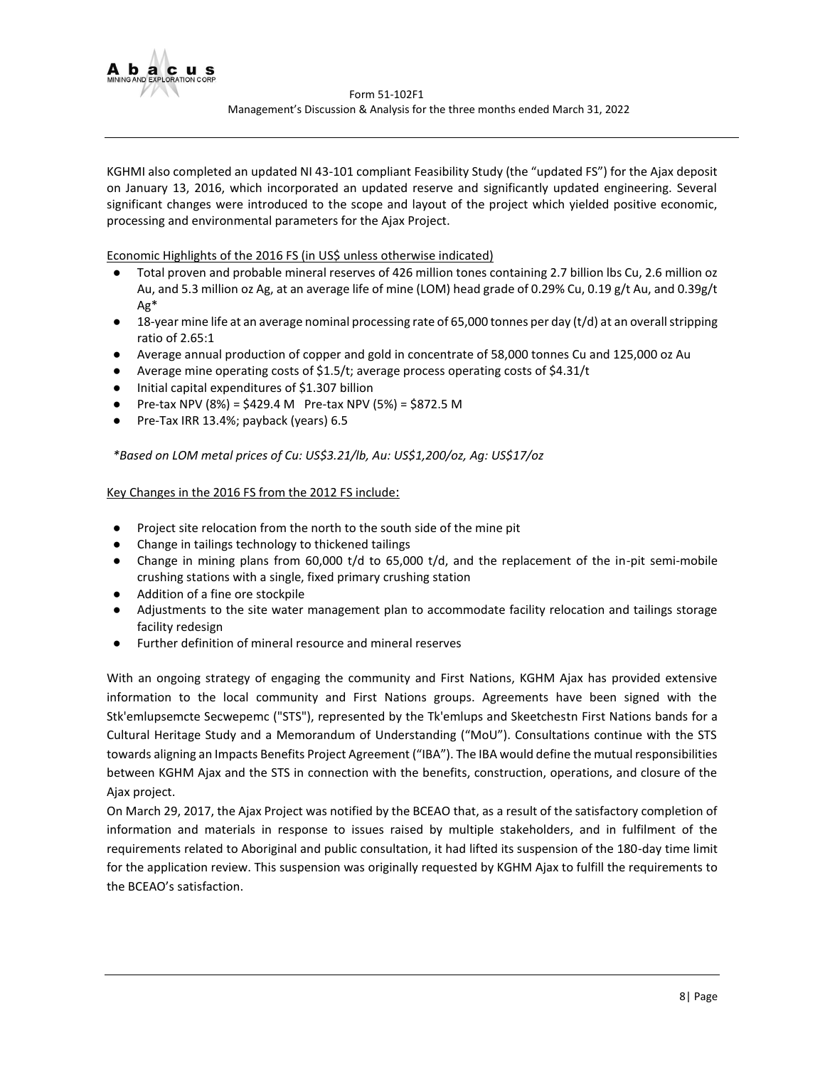

KGHMI also completed an updated NI 43-101 compliant Feasibility Study (the "updated FS") for the Ajax deposit on January 13, 2016, which incorporated an updated reserve and significantly updated engineering. Several significant changes were introduced to the scope and layout of the project which yielded positive economic, processing and environmental parameters for the Ajax Project.

Economic Highlights of the 2016 FS (in US\$ unless otherwise indicated)

- Total proven and probable mineral reserves of 426 million tones containing 2.7 billion lbs Cu, 2.6 million oz Au, and 5.3 million oz Ag, at an average life of mine (LOM) head grade of 0.29% Cu, 0.19 g/t Au, and 0.39g/t Ag\*
- 18-year mine life at an average nominal processing rate of 65,000 tonnes per day (t/d) at an overall stripping ratio of 2.65:1
- Average annual production of copper and gold in concentrate of 58,000 tonnes Cu and 125,000 oz Au
- Average mine operating costs of \$1.5/t; average process operating costs of \$4.31/t
- Initial capital expenditures of \$1.307 billion
- Pre-tax NPV (8%) =  $$429.4$  M Pre-tax NPV (5%) =  $$872.5$  M
- Pre-Tax IRR 13.4%; payback (years) 6.5

*\*Based on LOM metal prices of Cu: US\$3.21/lb, Au: US\$1,200/oz, Ag: US\$17/oz*

## Key Changes in the 2016 FS from the 2012 FS include:

- Project site relocation from the north to the south side of the mine pit
- Change in tailings technology to thickened tailings
- Change in mining plans from 60,000 t/d to 65,000 t/d, and the replacement of the in-pit semi-mobile crushing stations with a single, fixed primary crushing station
- Addition of a fine ore stockpile
- Adjustments to the site water management plan to accommodate facility relocation and tailings storage facility redesign
- Further definition of mineral resource and mineral reserves

With an ongoing strategy of engaging the community and First Nations, KGHM Ajax has provided extensive information to the local community and First Nations groups. Agreements have been signed with the Stk'emlupsemcte Secwepemc ("STS"), represented by the Tk'emlups and Skeetchestn First Nations bands for a Cultural Heritage Study and a Memorandum of Understanding ("MoU"). Consultations continue with the STS towards aligning an Impacts Benefits Project Agreement ("IBA"). The IBA would define the mutual responsibilities between KGHM Ajax and the STS in connection with the benefits, construction, operations, and closure of the Ajax project.

On March 29, 2017, the Ajax Project was notified by the BCEAO that, as a result of the satisfactory completion of information and materials in response to issues raised by multiple stakeholders, and in fulfilment of the requirements related to Aboriginal and public consultation, it had lifted its suspension of the 180-day time limit for the application review. This suspension was originally requested by KGHM Ajax to fulfill the requirements to the BCEAO's satisfaction.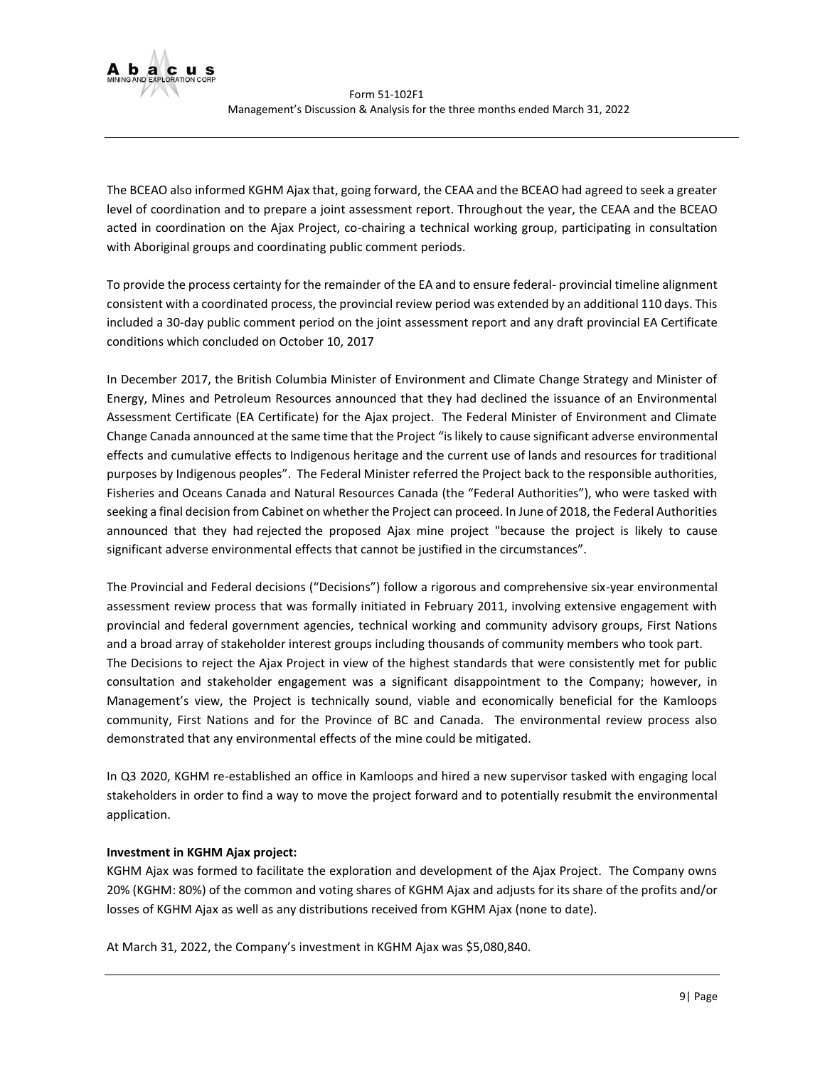

The BCEAO also informed KGHM Ajax that, going forward, the CEAA and the BCEAO had agreed to seek a greater level of coordination and to prepare a joint assessment report. Throughout the year, the CEAA and the BCEAO acted in coordination on the Ajax Project, co-chairing a technical working group, participating in consultation with Aboriginal groups and coordinating public comment periods.

To provide the process certainty for the remainder of the EA and to ensure federal- provincial timeline alignment consistent with a coordinated process, the provincial review period was extended by an additional 110 days. This included a 30-day public comment period on the joint assessment report and any draft provincial EA Certificate conditions which concluded on October 10, 2017

In December 2017, the British Columbia Minister of Environment and Climate Change Strategy and Minister of Energy, Mines and Petroleum Resources announced that they had declined the issuance of an Environmental Assessment Certificate (EA Certificate) for the Ajax project. The Federal Minister of Environment and Climate Change Canada announced at the same time that the Project "is likely to cause significant adverse environmental effects and cumulative effects to Indigenous heritage and the current use of lands and resources for traditional purposes by Indigenous peoples". The Federal Minister referred the Project back to the responsible authorities, Fisheries and Oceans Canada and Natural Resources Canada (the "Federal Authorities"), who were tasked with seeking a final decision from Cabinet on whether the Project can proceed. In June of 2018, the Federal Authorities announced that they had rejected the proposed Ajax mine project "because the project is likely to cause significant adverse environmental effects that cannot be justified in the circumstances".

The Provincial and Federal decisions ("Decisions") follow a rigorous and comprehensive six-year environmental assessment review process that was formally initiated in February 2011, involving extensive engagement with provincial and federal government agencies, technical working and community advisory groups, First Nations and a broad array of stakeholder interest groups including thousands of community members who took part. The Decisions to reject the Ajax Project in view of the highest standards that were consistently met for public consultation and stakeholder engagement was a significant disappointment to the Company; however, in Management's view, the Project is technically sound, viable and economically beneficial for the Kamloops community, First Nations and for the Province of BC and Canada. The environmental review process also demonstrated that any environmental effects of the mine could be mitigated.

In Q3 2020, KGHM re-established an office in Kamloops and hired a new supervisor tasked with engaging local stakeholders in order to find a way to move the project forward and to potentially resubmit the environmental application.

# **Investment in KGHM Ajax project:**

KGHM Ajax was formed to facilitate the exploration and development of the Ajax Project. The Company owns 20% (KGHM: 80%) of the common and voting shares of KGHM Ajax and adjusts for its share of the profits and/or losses of KGHM Ajax as well as any distributions received from KGHM Ajax (none to date).

At March 31, 2022, the Company's investment in KGHM Ajax was \$5,080,840.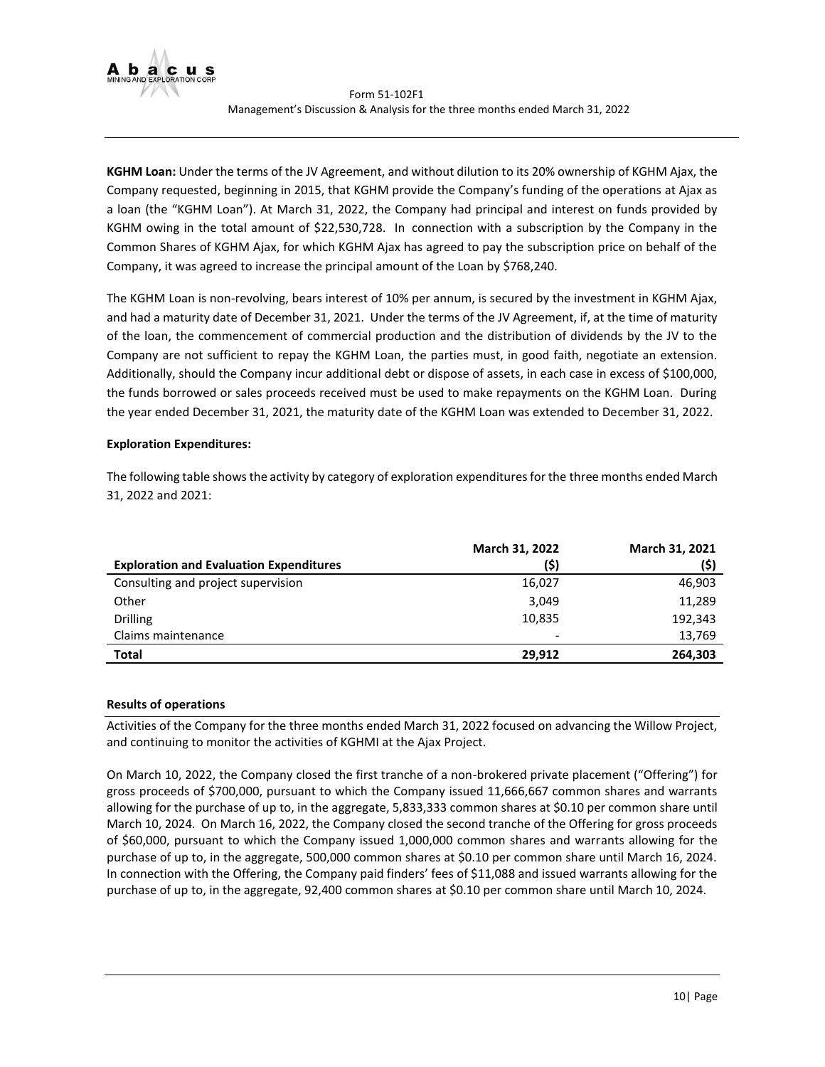

**KGHM Loan:** Under the terms of the JV Agreement, and without dilution to its 20% ownership of KGHM Ajax, the Company requested, beginning in 2015, that KGHM provide the Company's funding of the operations at Ajax as a loan (the "KGHM Loan"). At March 31, 2022, the Company had principal and interest on funds provided by KGHM owing in the total amount of \$22,530,728. In connection with a subscription by the Company in the Common Shares of KGHM Ajax, for which KGHM Ajax has agreed to pay the subscription price on behalf of the Company, it was agreed to increase the principal amount of the Loan by \$768,240.

The KGHM Loan is non-revolving, bears interest of 10% per annum, is secured by the investment in KGHM Ajax, and had a maturity date of December 31, 2021. Under the terms of the JV Agreement, if, at the time of maturity of the loan, the commencement of commercial production and the distribution of dividends by the JV to the Company are not sufficient to repay the KGHM Loan, the parties must, in good faith, negotiate an extension. Additionally, should the Company incur additional debt or dispose of assets, in each case in excess of \$100,000, the funds borrowed or sales proceeds received must be used to make repayments on the KGHM Loan. During the year ended December 31, 2021, the maturity date of the KGHM Loan was extended to December 31, 2022.

# **Exploration Expenditures:**

The following table shows the activity by category of exploration expenditures for the three months ended March 31, 2022 and 2021:

|                                                | March 31, 2022           | <b>March 31, 2021</b> |
|------------------------------------------------|--------------------------|-----------------------|
| <b>Exploration and Evaluation Expenditures</b> | (\$)                     | (\$)                  |
| Consulting and project supervision             | 16,027                   | 46,903                |
| Other                                          | 3,049                    | 11,289                |
| <b>Drilling</b>                                | 10,835                   | 192,343               |
| Claims maintenance                             | $\overline{\phantom{0}}$ | 13,769                |
| Total                                          | 29.912                   | 264,303               |

# <span id="page-9-0"></span>**Results of operations**

Activities of the Company for the three months ended March 31, 2022 focused on advancing the Willow Project, and continuing to monitor the activities of KGHMI at the Ajax Project.

On March 10, 2022, the Company closed the first tranche of a non-brokered private placement ("Offering") for gross proceeds of \$700,000, pursuant to which the Company issued 11,666,667 common shares and warrants allowing for the purchase of up to, in the aggregate, 5,833,333 common shares at \$0.10 per common share until March 10, 2024. On March 16, 2022, the Company closed the second tranche of the Offering for gross proceeds of \$60,000, pursuant to which the Company issued 1,000,000 common shares and warrants allowing for the purchase of up to, in the aggregate, 500,000 common shares at \$0.10 per common share until March 16, 2024. In connection with the Offering, the Company paid finders' fees of \$11,088 and issued warrants allowing for the purchase of up to, in the aggregate, 92,400 common shares at \$0.10 per common share until March 10, 2024.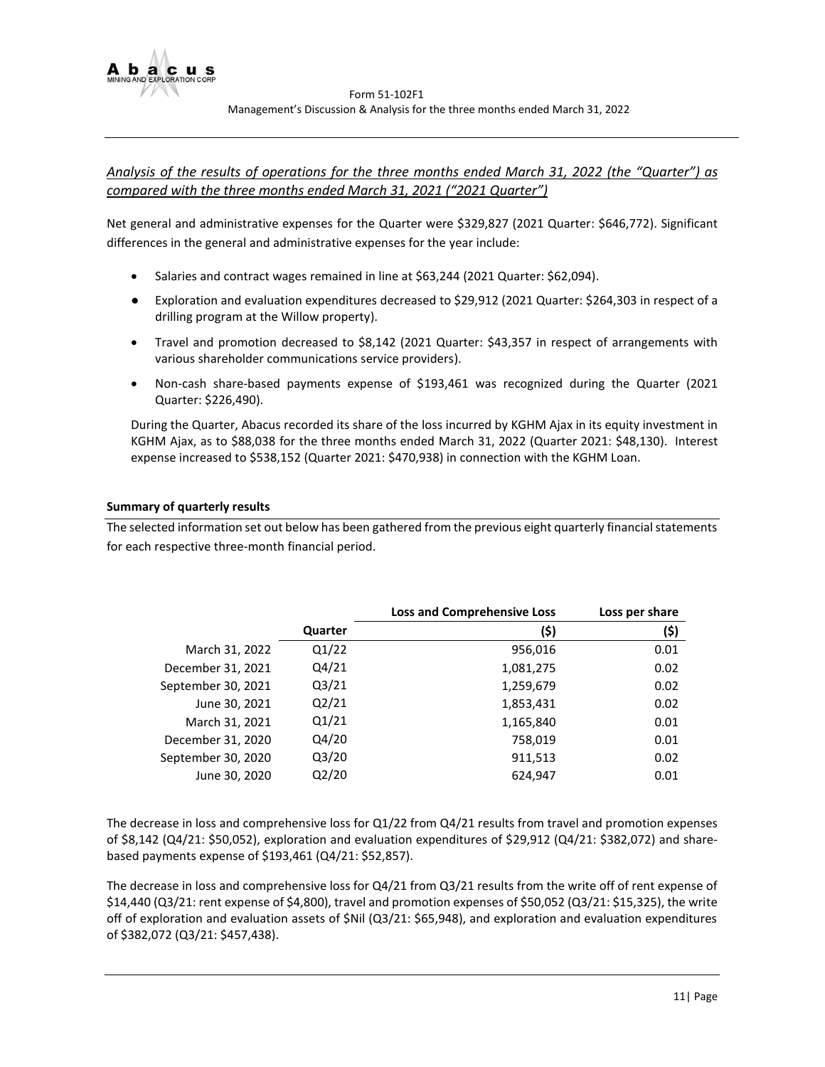

# *Analysis of the results of operations for the three months ended March 31, 2022 (the "Quarter") as compared with the three months ended March 31, 2021 ("2021 Quarter")*

Net general and administrative expenses for the Quarter were \$329,827 (2021 Quarter: \$646,772). Significant differences in the general and administrative expenses for the year include:

- Salaries and contract wages remained in line at \$63,244 (2021 Quarter: \$62,094).
- Exploration and evaluation expenditures decreased to \$29,912 (2021 Quarter: \$264,303 in respect of a drilling program at the Willow property).
- Travel and promotion decreased to \$8,142 (2021 Quarter: \$43,357 in respect of arrangements with various shareholder communications service providers).
- Non-cash share-based payments expense of \$193,461 was recognized during the Quarter (2021 Quarter: \$226,490).

During the Quarter, Abacus recorded its share of the loss incurred by KGHM Ajax in its equity investment in KGHM Ajax, as to \$88,038 for the three months ended March 31, 2022 (Quarter 2021: \$48,130). Interest expense increased to \$538,152 (Quarter 2021: \$470,938) in connection with the KGHM Loan.

# <span id="page-10-0"></span>**Summary of quarterly results**

The selected information set out below has been gathered from the previous eight quarterly financial statements for each respective three-month financial period.

|                    |         | <b>Loss and Comprehensive Loss</b> | Loss per share |
|--------------------|---------|------------------------------------|----------------|
|                    | Quarter | (\$)                               | (\$)           |
| March 31, 2022     | Q1/22   | 956,016                            | 0.01           |
| December 31, 2021  | Q4/21   | 1,081,275                          | 0.02           |
| September 30, 2021 | Q3/21   | 1,259,679                          | 0.02           |
| June 30, 2021      | Q2/21   | 1,853,431                          | 0.02           |
| March 31, 2021     | Q1/21   | 1,165,840                          | 0.01           |
| December 31, 2020  | Q4/20   | 758,019                            | 0.01           |
| September 30, 2020 | Q3/20   | 911,513                            | 0.02           |
| June 30, 2020      | Q2/20   | 624,947                            | 0.01           |

<span id="page-10-1"></span>The decrease in loss and comprehensive loss for Q1/22 from Q4/21 results from travel and promotion expenses of \$8,142 (Q4/21: \$50,052), exploration and evaluation expenditures of \$29,912 (Q4/21: \$382,072) and sharebased payments expense of \$193,461 (Q4/21: \$52,857).

The decrease in loss and comprehensive loss for Q4/21 from Q3/21 results from the write off of rent expense of \$14,440 (Q3/21: rent expense of \$4,800), travel and promotion expenses of \$50,052 (Q3/21: \$15,325), the write off of exploration and evaluation assets of \$Nil (Q3/21: \$65,948), and exploration and evaluation expenditures of \$382,072 (Q3/21: \$457,438).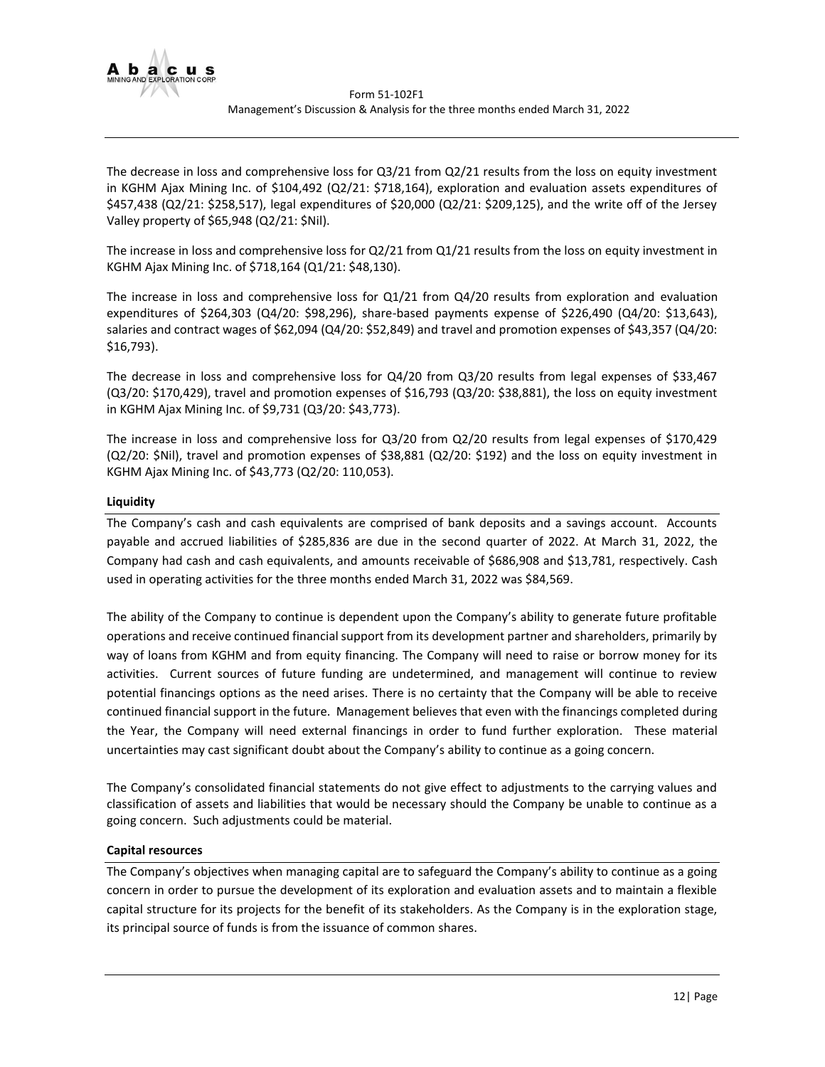

The decrease in loss and comprehensive loss for Q3/21 from Q2/21 results from the loss on equity investment in KGHM Ajax Mining Inc. of \$104,492 (Q2/21: \$718,164), exploration and evaluation assets expenditures of \$457,438 (Q2/21: \$258,517), legal expenditures of \$20,000 (Q2/21: \$209,125), and the write off of the Jersey Valley property of \$65,948 (Q2/21: \$Nil).

The increase in loss and comprehensive loss for Q2/21 from Q1/21 results from the loss on equity investment in KGHM Ajax Mining Inc. of \$718,164 (Q1/21: \$48,130).

The increase in loss and comprehensive loss for Q1/21 from Q4/20 results from exploration and evaluation expenditures of \$264,303 (Q4/20: \$98,296), share-based payments expense of \$226,490 (Q4/20: \$13,643), salaries and contract wages of \$62,094 (Q4/20: \$52,849) and travel and promotion expenses of \$43,357 (Q4/20: \$16,793).

The decrease in loss and comprehensive loss for Q4/20 from Q3/20 results from legal expenses of \$33,467 (Q3/20: \$170,429), travel and promotion expenses of \$16,793 (Q3/20: \$38,881), the loss on equity investment in KGHM Ajax Mining Inc. of \$9,731 (Q3/20: \$43,773).

The increase in loss and comprehensive loss for Q3/20 from Q2/20 results from legal expenses of \$170,429 (Q2/20: \$Nil), travel and promotion expenses of \$38,881 (Q2/20: \$192) and the loss on equity investment in KGHM Ajax Mining Inc. of \$43,773 (Q2/20: 110,053).

# **Liquidity**

The Company's cash and cash equivalents are comprised of bank deposits and a savings account. Accounts payable and accrued liabilities of \$285,836 are due in the second quarter of 2022. At March 31, 2022, the Company had cash and cash equivalents, and amounts receivable of \$686,908 and \$13,781, respectively. Cash used in operating activities for the three months ended March 31, 2022 was \$84,569.

The ability of the Company to continue is dependent upon the Company's ability to generate future profitable operations and receive continued financial support from its development partner and shareholders, primarily by way of loans from KGHM and from equity financing. The Company will need to raise or borrow money for its activities. Current sources of future funding are undetermined, and management will continue to review potential financings options as the need arises. There is no certainty that the Company will be able to receive continued financial support in the future. Management believes that even with the financings completed during the Year, the Company will need external financings in order to fund further exploration. These material uncertainties may cast significant doubt about the Company's ability to continue as a going concern.

The Company's consolidated financial statements do not give effect to adjustments to the carrying values and classification of assets and liabilities that would be necessary should the Company be unable to continue as a going concern. Such adjustments could be material.

#### <span id="page-11-0"></span>**Capital resources**

The Company's objectives when managing capital are to safeguard the Company's ability to continue as a going concern in order to pursue the development of its exploration and evaluation assets and to maintain a flexible capital structure for its projects for the benefit of its stakeholders. As the Company is in the exploration stage, its principal source of funds is from the issuance of common shares.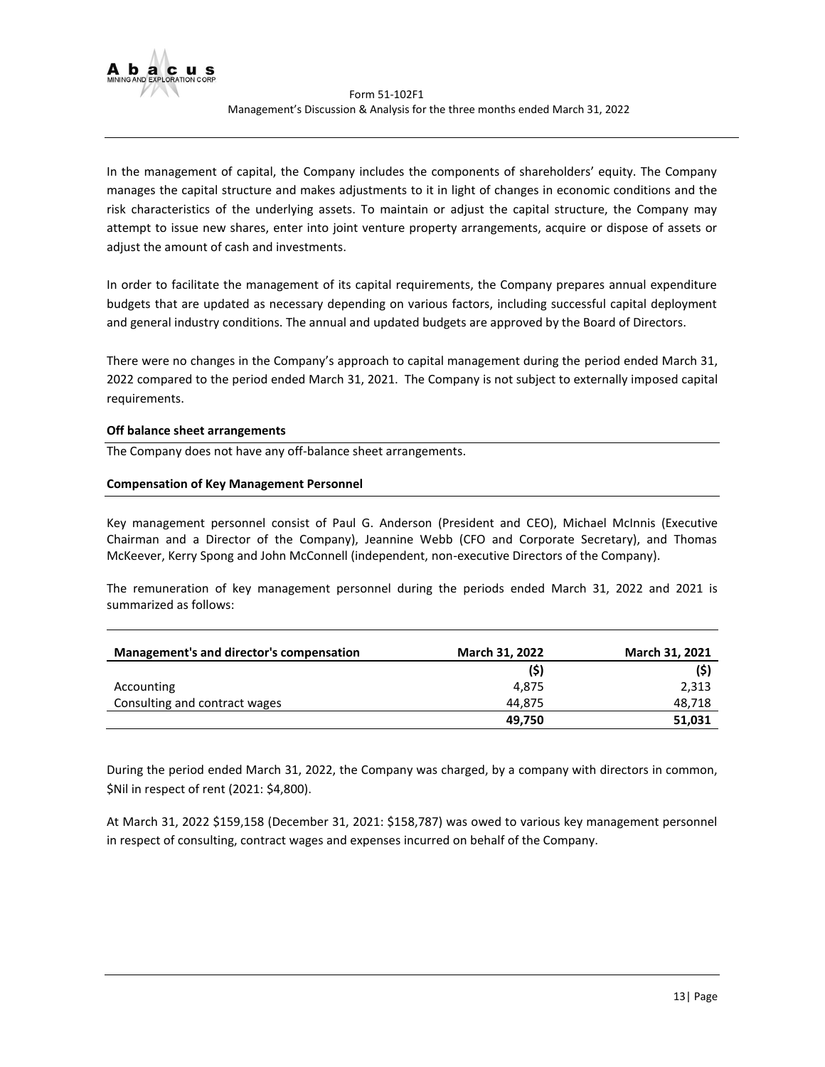

In the management of capital, the Company includes the components of shareholders' equity. The Company manages the capital structure and makes adjustments to it in light of changes in economic conditions and the risk characteristics of the underlying assets. To maintain or adjust the capital structure, the Company may attempt to issue new shares, enter into joint venture property arrangements, acquire or dispose of assets or adjust the amount of cash and investments.

In order to facilitate the management of its capital requirements, the Company prepares annual expenditure budgets that are updated as necessary depending on various factors, including successful capital deployment and general industry conditions. The annual and updated budgets are approved by the Board of Directors.

There were no changes in the Company's approach to capital management during the period ended March 31, 2022 compared to the period ended March 31, 2021. The Company is not subject to externally imposed capital requirements.

#### <span id="page-12-0"></span>**Off balance sheet arrangements**

The Company does not have any off-balance sheet arrangements.

## <span id="page-12-1"></span>**Compensation of Key Management Personnel**

Key management personnel consist of Paul G. Anderson (President and CEO), Michael McInnis (Executive Chairman and a Director of the Company), Jeannine Webb (CFO and Corporate Secretary), and Thomas McKeever, Kerry Spong and John McConnell (independent, non-executive Directors of the Company).

The remuneration of key management personnel during the periods ended March 31, 2022 and 2021 is summarized as follows:

| Management's and director's compensation | <b>March 31, 2022</b> | March 31, 2021 |
|------------------------------------------|-----------------------|----------------|
|                                          | (5)                   | (5)            |
| Accounting                               | 4.875                 | 2,313          |
| Consulting and contract wages            | 44.875                | 48,718         |
|                                          | 49,750                | 51,031         |

During the period ended March 31, 2022, the Company was charged, by a company with directors in common, \$Nil in respect of rent (2021: \$4,800).

At March 31, 2022 \$159,158 (December 31, 2021: \$158,787) was owed to various key management personnel in respect of consulting, contract wages and expenses incurred on behalf of the Company.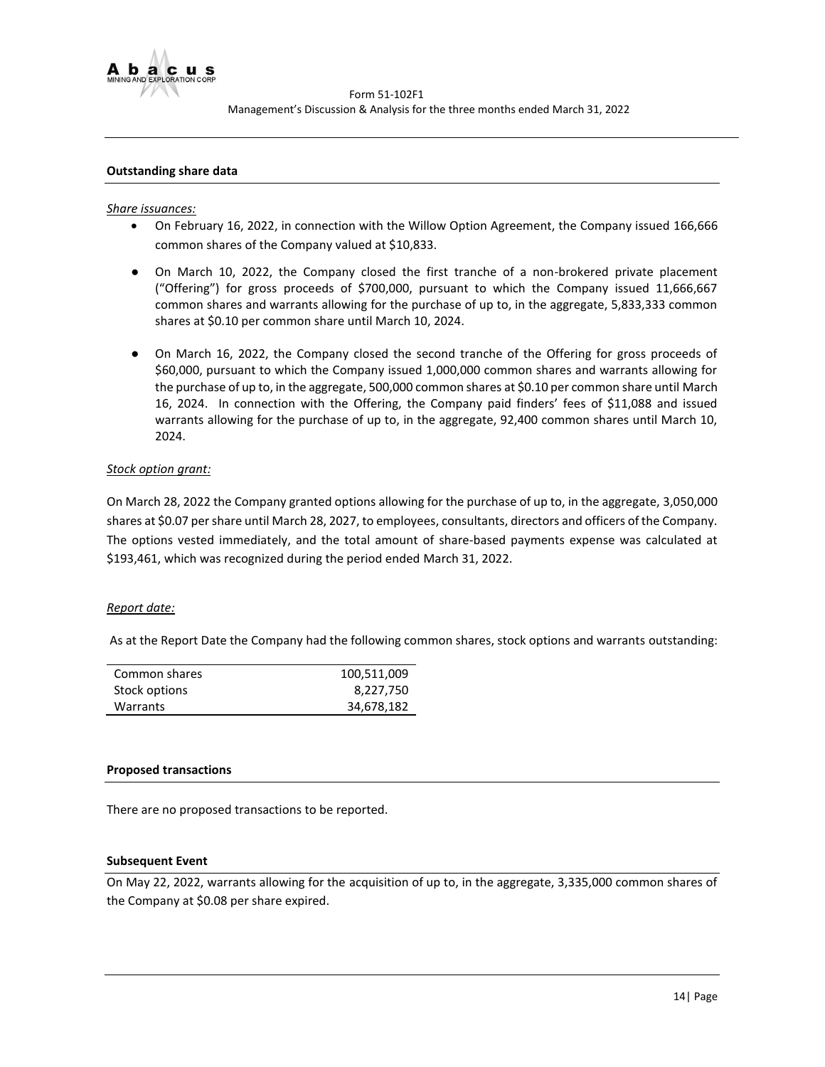

## <span id="page-13-0"></span>**Outstanding share data**

#### *Share issuances:*

- On February 16, 2022, in connection with the Willow Option Agreement, the Company issued 166,666 common shares of the Company valued at \$10,833.
- On March 10, 2022, the Company closed the first tranche of a non-brokered private placement ("Offering") for gross proceeds of \$700,000, pursuant to which the Company issued 11,666,667 common shares and warrants allowing for the purchase of up to, in the aggregate, 5,833,333 common shares at \$0.10 per common share until March 10, 2024.
- On March 16, 2022, the Company closed the second tranche of the Offering for gross proceeds of \$60,000, pursuant to which the Company issued 1,000,000 common shares and warrants allowing for the purchase of up to, in the aggregate, 500,000 common shares at \$0.10 per common share until March 16, 2024. In connection with the Offering, the Company paid finders' fees of \$11,088 and issued warrants allowing for the purchase of up to, in the aggregate, 92,400 common shares until March 10, 2024.

#### *Stock option grant:*

On March 28, 2022 the Company granted options allowing for the purchase of up to, in the aggregate, 3,050,000 shares at \$0.07 per share until March 28, 2027, to employees, consultants, directors and officers of the Company. The options vested immediately, and the total amount of share-based payments expense was calculated at \$193,461, which was recognized during the period ended March 31, 2022.

#### *Report date:*

As at the Report Date the Company had the following common shares, stock options and warrants outstanding:

| Common shares | 100,511,009 |
|---------------|-------------|
| Stock options | 8,227,750   |
| Warrants      | 34,678,182  |

#### <span id="page-13-1"></span>**Proposed transactions**

There are no proposed transactions to be reported.

#### <span id="page-13-2"></span>**Subsequent Event**

<span id="page-13-3"></span>On May 22, 2022, warrants allowing for the acquisition of up to, in the aggregate, 3,335,000 common shares of the Company at \$0.08 per share expired.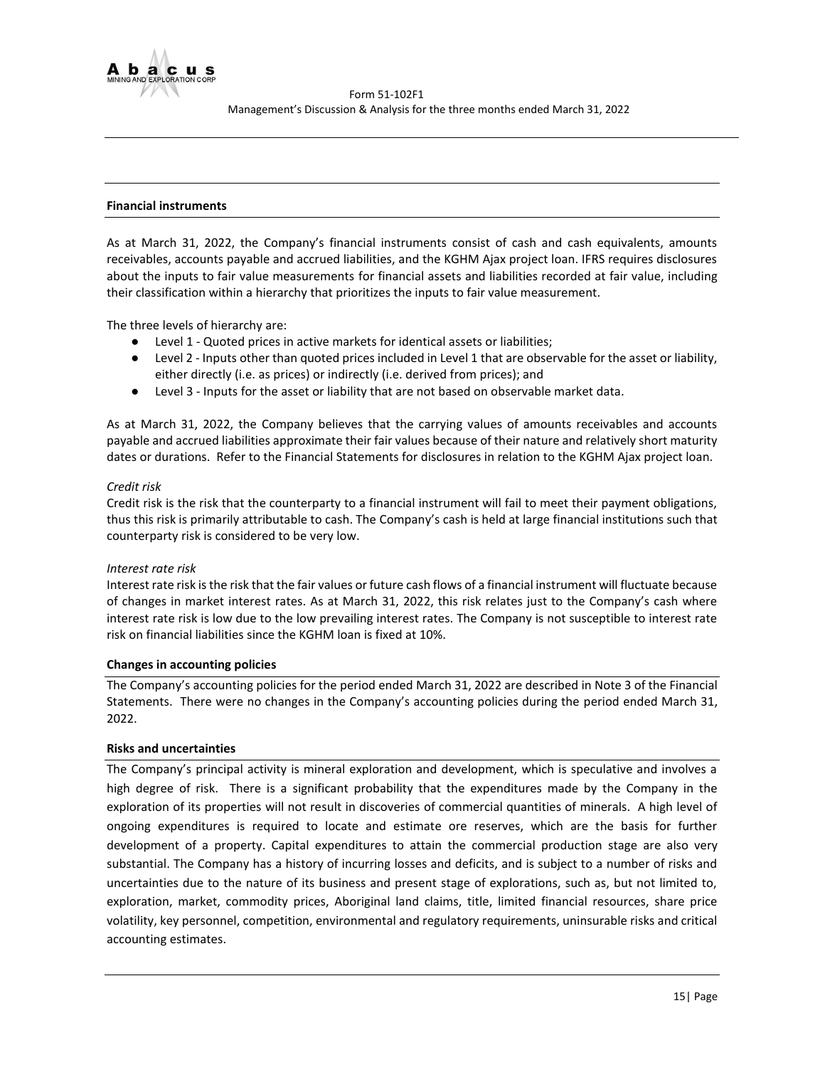

## **Financial instruments**

As at March 31, 2022, the Company's financial instruments consist of cash and cash equivalents, amounts receivables, accounts payable and accrued liabilities, and the KGHM Ajax project loan. IFRS requires disclosures about the inputs to fair value measurements for financial assets and liabilities recorded at fair value, including their classification within a hierarchy that prioritizes the inputs to fair value measurement.

The three levels of hierarchy are:

- Level 1 Quoted prices in active markets for identical assets or liabilities;
- Level 2 Inputs other than quoted prices included in Level 1 that are observable for the asset or liability, either directly (i.e. as prices) or indirectly (i.e. derived from prices); and
- Level 3 Inputs for the asset or liability that are not based on observable market data.

As at March 31, 2022, the Company believes that the carrying values of amounts receivables and accounts payable and accrued liabilities approximate their fair values because of their nature and relatively short maturity dates or durations. Refer to the Financial Statements for disclosures in relation to the KGHM Ajax project loan.

#### *Credit risk*

Credit risk is the risk that the counterparty to a financial instrument will fail to meet their payment obligations, thus this risk is primarily attributable to cash. The Company's cash is held at large financial institutions such that counterparty risk is considered to be very low.

#### *Interest rate risk*

Interest rate risk is the risk that the fair values or future cash flows of a financial instrument will fluctuate because of changes in market interest rates. As at March 31, 2022, this risk relates just to the Company's cash where interest rate risk is low due to the low prevailing interest rates. The Company is not susceptible to interest rate risk on financial liabilities since the KGHM loan is fixed at 10%.

#### <span id="page-14-0"></span>**Changes in accounting policies**

The Company's accounting policies for the period ended March 31, 2022 are described in Note 3 of the Financial Statements. There were no changes in the Company's accounting policies during the period ended March 31, 2022.

## <span id="page-14-1"></span>**Risks and uncertainties**

The Company's principal activity is mineral exploration and development, which is speculative and involves a high degree of risk. There is a significant probability that the expenditures made by the Company in the exploration of its properties will not result in discoveries of commercial quantities of minerals. A high level of ongoing expenditures is required to locate and estimate ore reserves, which are the basis for further development of a property. Capital expenditures to attain the commercial production stage are also very substantial. The Company has a history of incurring losses and deficits, and is subject to a number of risks and uncertainties due to the nature of its business and present stage of explorations, such as, but not limited to, exploration, market, commodity prices, Aboriginal land claims, title, limited financial resources, share price volatility, key personnel, competition, environmental and regulatory requirements, uninsurable risks and critical accounting estimates.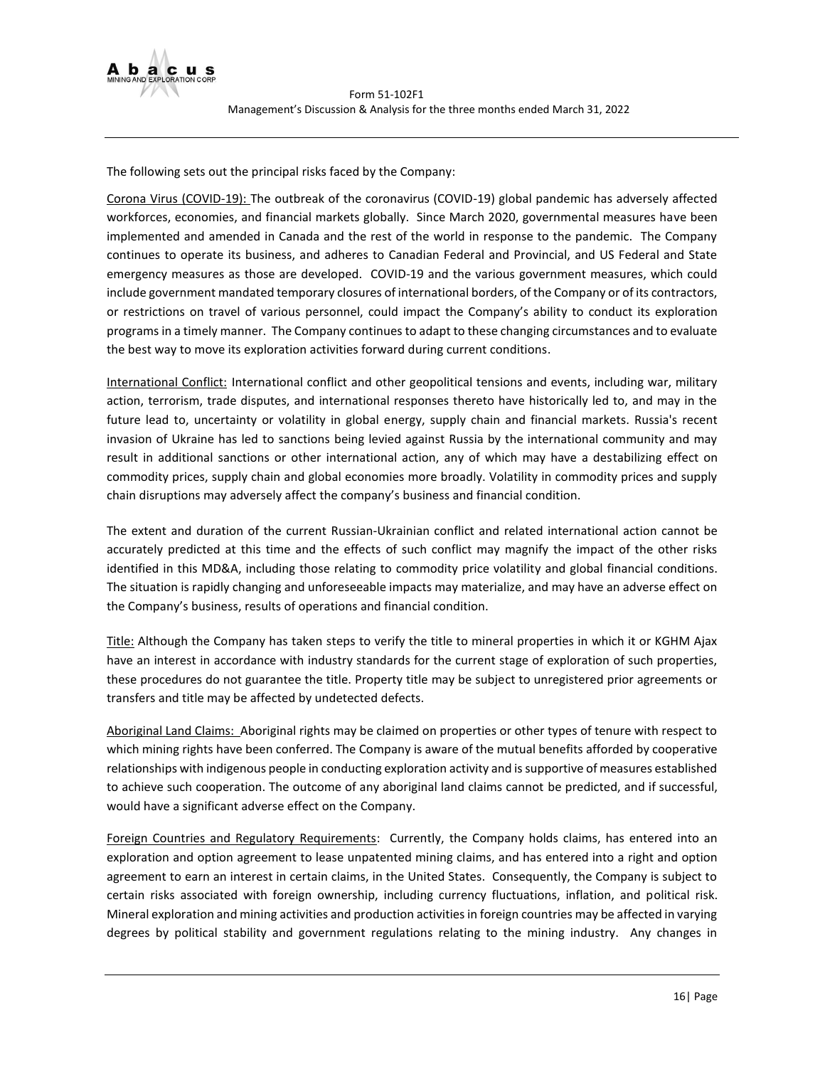

The following sets out the principal risks faced by the Company:

Corona Virus (COVID-19): The outbreak of the coronavirus (COVID-19) global pandemic has adversely affected workforces, economies, and financial markets globally. Since March 2020, governmental measures have been implemented and amended in Canada and the rest of the world in response to the pandemic. The Company continues to operate its business, and adheres to Canadian Federal and Provincial, and US Federal and State emergency measures as those are developed. COVID-19 and the various government measures, which could include government mandated temporary closures of international borders, of the Company or of its contractors, or restrictions on travel of various personnel, could impact the Company's ability to conduct its exploration programs in a timely manner. The Company continues to adapt to these changing circumstances and to evaluate the best way to move its exploration activities forward during current conditions.

International Conflict: International conflict and other geopolitical tensions and events, including war, military action, terrorism, trade disputes, and international responses thereto have historically led to, and may in the future lead to, uncertainty or volatility in global energy, supply chain and financial markets. Russia's recent invasion of Ukraine has led to sanctions being levied against Russia by the international community and may result in additional sanctions or other international action, any of which may have a destabilizing effect on commodity prices, supply chain and global economies more broadly. Volatility in commodity prices and supply chain disruptions may adversely affect the company's business and financial condition.

The extent and duration of the current Russian-Ukrainian conflict and related international action cannot be accurately predicted at this time and the effects of such conflict may magnify the impact of the other risks identified in this MD&A, including those relating to commodity price volatility and global financial conditions. The situation is rapidly changing and unforeseeable impacts may materialize, and may have an adverse effect on the Company's business, results of operations and financial condition.

Title: Although the Company has taken steps to verify the title to mineral properties in which it or KGHM Ajax have an interest in accordance with industry standards for the current stage of exploration of such properties, these procedures do not guarantee the title. Property title may be subject to unregistered prior agreements or transfers and title may be affected by undetected defects.

Aboriginal Land Claims: Aboriginal rights may be claimed on properties or other types of tenure with respect to which mining rights have been conferred. The Company is aware of the mutual benefits afforded by cooperative relationships with indigenous people in conducting exploration activity and is supportive of measures established to achieve such cooperation. The outcome of any aboriginal land claims cannot be predicted, and if successful, would have a significant adverse effect on the Company.

Foreign Countries and Regulatory Requirements: Currently, the Company holds claims, has entered into an exploration and option agreement to lease unpatented mining claims, and has entered into a right and option agreement to earn an interest in certain claims, in the United States. Consequently, the Company is subject to certain risks associated with foreign ownership, including currency fluctuations, inflation, and political risk. Mineral exploration and mining activities and production activities in foreign countries may be affected in varying degrees by political stability and government regulations relating to the mining industry. Any changes in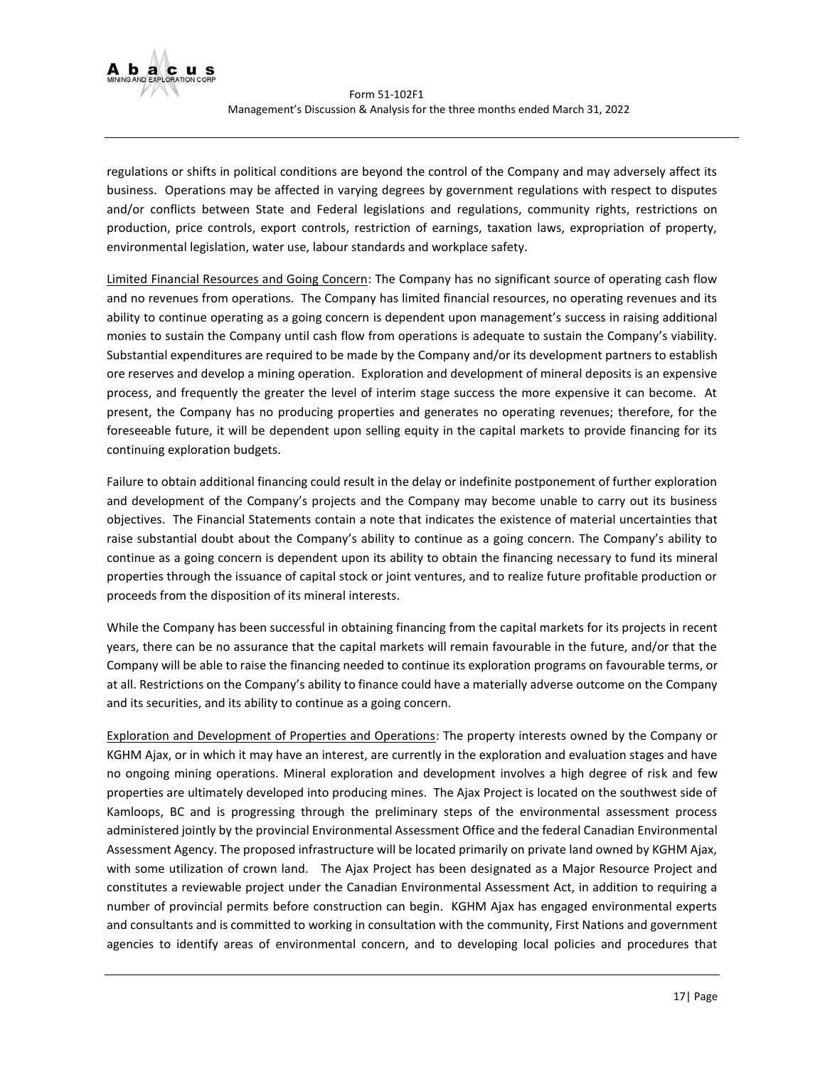

regulations or shifts in political conditions are beyond the control of the Company and may adversely affect its business. Operations may be affected in varying degrees by government regulations with respect to disputes and/or conflicts between State and Federal legislations and regulations, community rights, restrictions on production, price controls, export controls, restriction of earnings, taxation laws, expropriation of property, environmental legislation, water use, labour standards and workplace safety.

Limited Financial Resources and Going Concern: The Company has no significant source of operating cash flow and no revenues from operations. The Company has limited financial resources, no operating revenues and its ability to continue operating as a going concern is dependent upon management's success in raising additional monies to sustain the Company until cash flow from operations is adequate to sustain the Company's viability. Substantial expenditures are required to be made by the Company and/or its development partners to establish ore reserves and develop a mining operation. Exploration and development of mineral deposits is an expensive process, and frequently the greater the level of interim stage success the more expensive it can become. At present, the Company has no producing properties and generates no operating revenues; therefore, for the foreseeable future, it will be dependent upon selling equity in the capital markets to provide financing for its continuing exploration budgets.

Failure to obtain additional financing could result in the delay or indefinite postponement of further exploration and development of the Company's projects and the Company may become unable to carry out its business objectives. The Financial Statements contain a note that indicates the existence of material uncertainties that raise substantial doubt about the Company's ability to continue as a going concern. The Company's ability to continue as a going concern is dependent upon its ability to obtain the financing necessary to fund its mineral properties through the issuance of capital stock or joint ventures, and to realize future profitable production or proceeds from the disposition of its mineral interests.

While the Company has been successful in obtaining financing from the capital markets for its projects in recent years, there can be no assurance that the capital markets will remain favourable in the future, and/or that the Company will be able to raise the financing needed to continue its exploration programs on favourable terms, or at all. Restrictions on the Company's ability to finance could have a materially adverse outcome on the Company and its securities, and its ability to continue as a going concern.

Exploration and Development of Properties and Operations: The property interests owned by the Company or KGHM Ajax, or in which it may have an interest, are currently in the exploration and evaluation stages and have no ongoing mining operations. Mineral exploration and development involves a high degree of risk and few properties are ultimately developed into producing mines. The Ajax Project is located on the southwest side of Kamloops, BC and is progressing through the preliminary steps of the environmental assessment process administered jointly by the provincial Environmental Assessment Office and the federal Canadian Environmental Assessment Agency. The proposed infrastructure will be located primarily on private land owned by KGHM Ajax, with some utilization of crown land. The Ajax Project has been designated as a Major Resource Project and constitutes a reviewable project under the Canadian Environmental Assessment Act, in addition to requiring a number of provincial permits before construction can begin. KGHM Ajax has engaged environmental experts and consultants and is committed to working in consultation with the community, First Nations and government agencies to identify areas of environmental concern, and to developing local policies and procedures that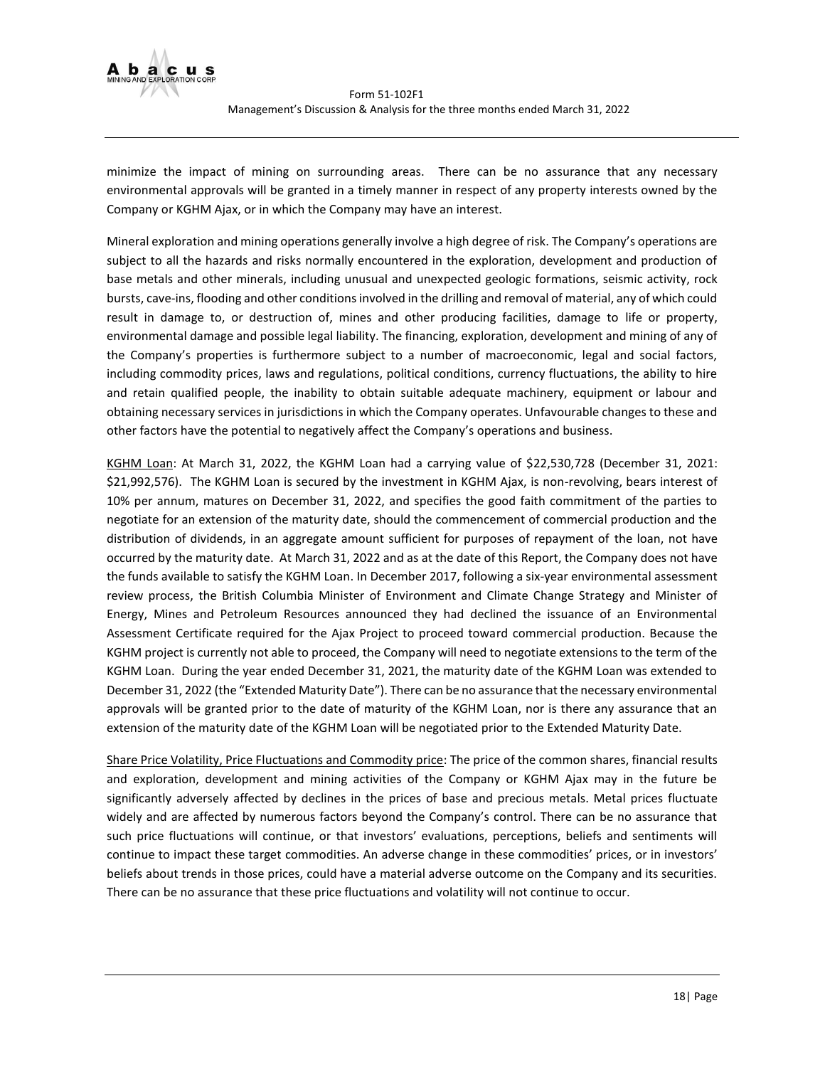

minimize the impact of mining on surrounding areas. There can be no assurance that any necessary environmental approvals will be granted in a timely manner in respect of any property interests owned by the Company or KGHM Ajax, or in which the Company may have an interest.

Mineral exploration and mining operations generally involve a high degree of risk. The Company's operations are subject to all the hazards and risks normally encountered in the exploration, development and production of base metals and other minerals, including unusual and unexpected geologic formations, seismic activity, rock bursts, cave-ins, flooding and other conditions involved in the drilling and removal of material, any of which could result in damage to, or destruction of, mines and other producing facilities, damage to life or property, environmental damage and possible legal liability. The financing, exploration, development and mining of any of the Company's properties is furthermore subject to a number of macroeconomic, legal and social factors, including commodity prices, laws and regulations, political conditions, currency fluctuations, the ability to hire and retain qualified people, the inability to obtain suitable adequate machinery, equipment or labour and obtaining necessary services in jurisdictions in which the Company operates. Unfavourable changes to these and other factors have the potential to negatively affect the Company's operations and business.

KGHM Loan: At March 31, 2022, the KGHM Loan had a carrying value of \$22,530,728 (December 31, 2021: \$21,992,576). The KGHM Loan is secured by the investment in KGHM Ajax, is non-revolving, bears interest of 10% per annum, matures on December 31, 2022, and specifies the good faith commitment of the parties to negotiate for an extension of the maturity date, should the commencement of commercial production and the distribution of dividends, in an aggregate amount sufficient for purposes of repayment of the loan, not have occurred by the maturity date. At March 31, 2022 and as at the date of this Report, the Company does not have the funds available to satisfy the KGHM Loan. In December 2017, following a six-year environmental assessment review process, the British Columbia Minister of Environment and Climate Change Strategy and Minister of Energy, Mines and Petroleum Resources announced they had declined the issuance of an Environmental Assessment Certificate required for the Ajax Project to proceed toward commercial production. Because the KGHM project is currently not able to proceed, the Company will need to negotiate extensions to the term of the KGHM Loan. During the year ended December 31, 2021, the maturity date of the KGHM Loan was extended to December 31, 2022 (the "Extended Maturity Date"). There can be no assurance that the necessary environmental approvals will be granted prior to the date of maturity of the KGHM Loan, nor is there any assurance that an extension of the maturity date of the KGHM Loan will be negotiated prior to the Extended Maturity Date.

Share Price Volatility, Price Fluctuations and Commodity price: The price of the common shares, financial results and exploration, development and mining activities of the Company or KGHM Ajax may in the future be significantly adversely affected by declines in the prices of base and precious metals. Metal prices fluctuate widely and are affected by numerous factors beyond the Company's control. There can be no assurance that such price fluctuations will continue, or that investors' evaluations, perceptions, beliefs and sentiments will continue to impact these target commodities. An adverse change in these commodities' prices, or in investors' beliefs about trends in those prices, could have a material adverse outcome on the Company and its securities. There can be no assurance that these price fluctuations and volatility will not continue to occur.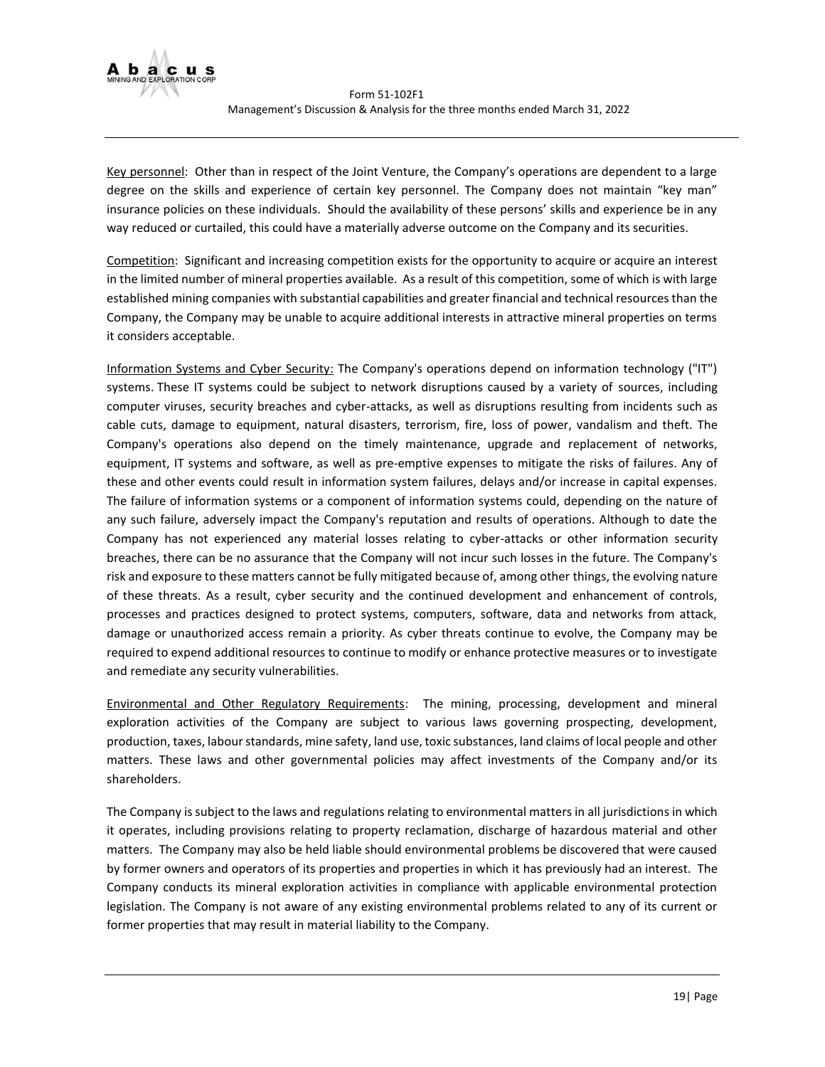

Key personnel: Other than in respect of the Joint Venture, the Company's operations are dependent to a large degree on the skills and experience of certain key personnel. The Company does not maintain "key man" insurance policies on these individuals. Should the availability of these persons' skills and experience be in any way reduced or curtailed, this could have a materially adverse outcome on the Company and its securities.

Competition: Significant and increasing competition exists for the opportunity to acquire or acquire an interest in the limited number of mineral properties available. As a result of this competition, some of which is with large established mining companies with substantial capabilities and greater financial and technical resources than the Company, the Company may be unable to acquire additional interests in attractive mineral properties on terms it considers acceptable.

Information Systems and Cyber Security: The Company's operations depend on information technology ("IT") systems. These IT systems could be subject to network disruptions caused by a variety of sources, including computer viruses, security breaches and cyber-attacks, as well as disruptions resulting from incidents such as cable cuts, damage to equipment, natural disasters, terrorism, fire, loss of power, vandalism and theft. The Company's operations also depend on the timely maintenance, upgrade and replacement of networks, equipment, IT systems and software, as well as pre-emptive expenses to mitigate the risks of failures. Any of these and other events could result in information system failures, delays and/or increase in capital expenses. The failure of information systems or a component of information systems could, depending on the nature of any such failure, adversely impact the Company's reputation and results of operations. Although to date the Company has not experienced any material losses relating to cyber-attacks or other information security breaches, there can be no assurance that the Company will not incur such losses in the future. The Company's risk and exposure to these matters cannot be fully mitigated because of, among other things, the evolving nature of these threats. As a result, cyber security and the continued development and enhancement of controls, processes and practices designed to protect systems, computers, software, data and networks from attack, damage or unauthorized access remain a priority. As cyber threats continue to evolve, the Company may be required to expend additional resources to continue to modify or enhance protective measures or to investigate and remediate any security vulnerabilities.

Environmental and Other Regulatory Requirements: The mining, processing, development and mineral exploration activities of the Company are subject to various laws governing prospecting, development, production, taxes, labour standards, mine safety, land use, toxic substances, land claims of local people and other matters. These laws and other governmental policies may affect investments of the Company and/or its shareholders.

The Company is subject to the laws and regulations relating to environmental matters in all jurisdictions in which it operates, including provisions relating to property reclamation, discharge of hazardous material and other matters. The Company may also be held liable should environmental problems be discovered that were caused by former owners and operators of its properties and properties in which it has previously had an interest. The Company conducts its mineral exploration activities in compliance with applicable environmental protection legislation. The Company is not aware of any existing environmental problems related to any of its current or former properties that may result in material liability to the Company.